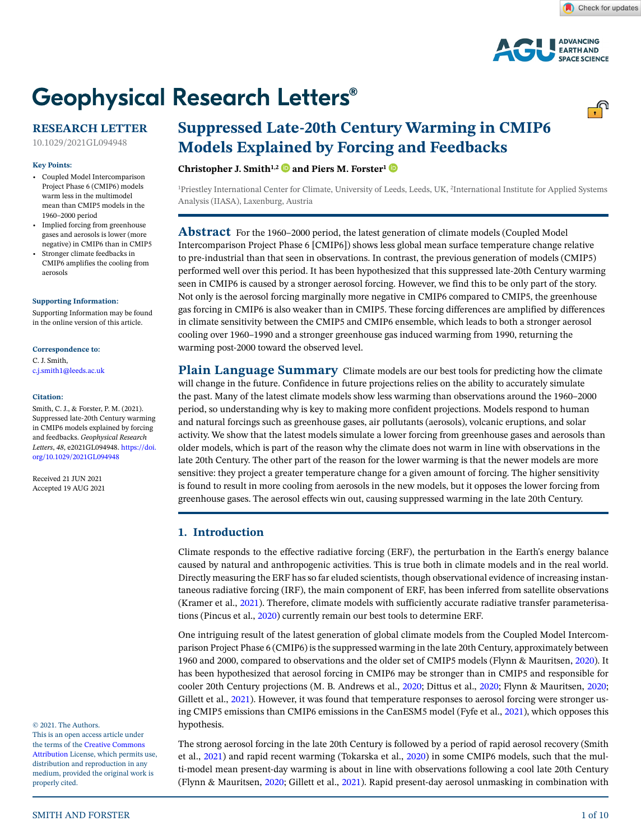

**ADVANCING EARTH AND SPACE SCIENCE** 

<u>್.</u>



## **RESEARCH LETTER**

10.1029/2021GL094948

#### **Key Points:**

- Coupled Model Intercomparison Project Phase 6 (CMIP6) models warm less in the multimodel mean than CMIP5 models in the 1960–2000 period
- Implied forcing from greenhouse gases and aerosols is lower (more negative) in CMIP6 than in CMIP5
- Stronger climate feedbacks in CMIP6 amplifies the cooling from aerosols

#### **[Supporting Information:](https://doi.org/10.1029/2021GL094948)**

[Supporting Information may be found](https://doi.org/10.1029/2021GL094948)  [in the online version of this article.](https://doi.org/10.1029/2021GL094948)

#### **Correspondence to:**

C. J. Smith, c.j.smith1@leeds.ac.uk

#### **Citation:**

Smith, C. J., & Forster, P. M. (2021). Suppressed late-20th Century warming in CMIP6 models explained by forcing and feedbacks. *Geophysical Research Letters*, *48*, e2021GL094948. [https://doi.](https://doi.org/10.1029/2021GL094948) [org/10.1029/2021GL094948](https://doi.org/10.1029/2021GL094948)

Received 21 JUN 2021 Accepted 19 AUG 2021

© 2021. The Authors.

This is an open access article under the terms of the [Creative Commons](http://creativecommons.org/licenses/by/4.0/)  [Attribution](http://creativecommons.org/licenses/by/4.0/) License, which permits use, distribution and reproduction in any medium, provided the original work is properly cited.

# **Suppressed Late-20th Century Warming in CMIP6 Models Explained by Forcing and Feedbacks**

**Christopher J. Smith1,[2](https://orcid.org/0000-0003-0599-4633) and Piers M. Forster[1](https://orcid.org/0000-0002-6078-0171)**

<sup>1</sup>Priestley International Center for Climate, University of Leeds, Leeds, UK, <sup>2</sup>International Institute for Applied Systems Analysis (IIASA), Laxenburg, Austria

**Abstract** For the 1960–2000 period, the latest generation of climate models (Coupled Model Intercomparison Project Phase 6 [CMIP6]) shows less global mean surface temperature change relative to pre-industrial than that seen in observations. In contrast, the previous generation of models (CMIP5) performed well over this period. It has been hypothesized that this suppressed late-20th Century warming seen in CMIP6 is caused by a stronger aerosol forcing. However, we find this to be only part of the story. Not only is the aerosol forcing marginally more negative in CMIP6 compared to CMIP5, the greenhouse gas forcing in CMIP6 is also weaker than in CMIP5. These forcing differences are amplified by differences in climate sensitivity between the CMIP5 and CMIP6 ensemble, which leads to both a stronger aerosol cooling over 1960–1990 and a stronger greenhouse gas induced warming from 1990, returning the warming post-2000 toward the observed level.

**Plain Language Summary** Climate models are our best tools for predicting how the climate will change in the future. Confidence in future projections relies on the ability to accurately simulate the past. Many of the latest climate models show less warming than observations around the 1960–2000 period, so understanding why is key to making more confident projections. Models respond to human and natural forcings such as greenhouse gases, air pollutants (aerosols), volcanic eruptions, and solar activity. We show that the latest models simulate a lower forcing from greenhouse gases and aerosols than older models, which is part of the reason why the climate does not warm in line with observations in the late 20th Century. The other part of the reason for the lower warming is that the newer models are more sensitive: they project a greater temperature change for a given amount of forcing. The higher sensitivity is found to result in more cooling from aerosols in the new models, but it opposes the lower forcing from greenhouse gases. The aerosol effects win out, causing suppressed warming in the late 20th Century.

## **1. Introduction**

Climate responds to the effective radiative forcing (ERF), the perturbation in the Earth's energy balance caused by natural and anthropogenic activities. This is true both in climate models and in the real world. Directly measuring the ERF has so far eluded scientists, though observational evidence of increasing instantaneous radiative forcing (IRF), the main component of ERF, has been inferred from satellite observations (Kramer et al., [2021\)](#page-9-0). Therefore, climate models with sufficiently accurate radiative transfer parameterisations (Pincus et al., [2020](#page-9-1)) currently remain our best tools to determine ERF.

One intriguing result of the latest generation of global climate models from the Coupled Model Intercomparison Project Phase 6 (CMIP6) is the suppressed warming in the late 20th Century, approximately between 1960 and 2000, compared to observations and the older set of CMIP5 models (Flynn & Mauritsen, [2020](#page-9-2)). It has been hypothesized that aerosol forcing in CMIP6 may be stronger than in CMIP5 and responsible for cooler 20th Century projections (M. B. Andrews et al., [2020](#page-8-0); Dittus et al., [2020](#page-9-3); Flynn & Mauritsen, [2020](#page-9-2); Gillett et al., [2021\)](#page-9-4). However, it was found that temperature responses to aerosol forcing were stronger using CMIP5 emissions than CMIP6 emissions in the CanESM5 model (Fyfe et al., [2021\)](#page-9-5), which opposes this hypothesis.

The strong aerosol forcing in the late 20th Century is followed by a period of rapid aerosol recovery (Smith et al., [2021\)](#page-9-6) and rapid recent warming (Tokarska et al., [2020](#page-9-7)) in some CMIP6 models, such that the multi-model mean present-day warming is about in line with observations following a cool late 20th Century (Flynn & Mauritsen, [2020](#page-9-2); Gillett et al., [2021](#page-9-4)). Rapid present-day aerosol unmasking in combination with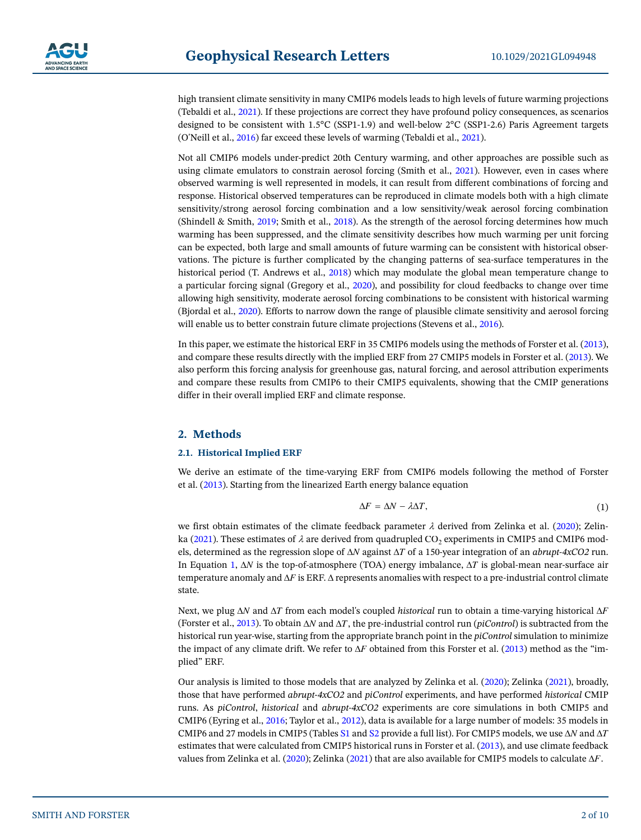high transient climate sensitivity in many CMIP6 models leads to high levels of future warming projections (Tebaldi et al., [2021](#page-9-8)). If these projections are correct they have profound policy consequences, as scenarios designed to be consistent with 1.5°C (SSP1-1.9) and well-below 2°C (SSP1-2.6) Paris Agreement targets (O'Neill et al., [2016\)](#page-9-9) far exceed these levels of warming (Tebaldi et al., [2021\)](#page-9-8).

Not all CMIP6 models under-predict 20th Century warming, and other approaches are possible such as using climate emulators to constrain aerosol forcing (Smith et al., [2021\)](#page-9-6). However, even in cases where observed warming is well represented in models, it can result from different combinations of forcing and response. Historical observed temperatures can be reproduced in climate models both with a high climate sensitivity/strong aerosol forcing combination and a low sensitivity/weak aerosol forcing combination (Shindell & Smith, [2019;](#page-9-10) Smith et al., [2018\)](#page-9-11). As the strength of the aerosol forcing determines how much warming has been suppressed, and the climate sensitivity describes how much warming per unit forcing can be expected, both large and small amounts of future warming can be consistent with historical observations. The picture is further complicated by the changing patterns of sea-surface temperatures in the historical period (T. Andrews et al., [2018](#page-8-1)) which may modulate the global mean temperature change to a particular forcing signal (Gregory et al., [2020](#page-9-12)), and possibility for cloud feedbacks to change over time allowing high sensitivity, moderate aerosol forcing combinations to be consistent with historical warming (Bjordal et al., [2020](#page-9-13)). Efforts to narrow down the range of plausible climate sensitivity and aerosol forcing will enable us to better constrain future climate projections (Stevens et al., [2016](#page-9-14)).

In this paper, we estimate the historical ERF in 35 CMIP6 models using the methods of Forster et al. [\(2013](#page-9-15)), and compare these results directly with the implied ERF from 27 CMIP5 models in Forster et al. [\(2013](#page-9-15)). We also perform this forcing analysis for greenhouse gas, natural forcing, and aerosol attribution experiments and compare these results from CMIP6 to their CMIP5 equivalents, showing that the CMIP generations differ in their overall implied ERF and climate response.

## **2. Methods**

#### **2.1. Historical Implied ERF**

We derive an estimate of the time-varying ERF from CMIP6 models following the method of Forster et al. ([2013\)](#page-9-15). Starting from the linearized Earth energy balance equation

$$
\Delta F = \Delta N - \lambda \Delta T, \tag{1}
$$

<span id="page-1-0"></span>we first obtain estimates of the climate feedback parameter  $\lambda$  derived from Zelinka et al. ([2020](#page-9-16)); Zelin-ka ([2021\)](#page-9-17). These estimates of  $\lambda$  are derived from quadrupled CO<sub>2</sub> experiments in CMIP5 and CMIP6 models, determined as the regression slope of ΔN against ΔT of a 150-year integration of an *abrupt-4xCO2* run. In Equation 1,  $\Delta N$  is the top-of-atmosphere (TOA) energy imbalance,  $\Delta T$  is global-mean near-surface air temperature anomaly and  $\Delta F$  is ERF.  $\Delta$  represents anomalies with respect to a pre-industrial control climate state.

Next, we plug  $\Delta N$  and  $\Delta T$  from each model's coupled *historical* run to obtain a time-varying historical  $\Delta F$ (Forster et al., [2013\)](#page-9-15). To obtain  $\Delta N$  and  $\Delta T$ , the pre-industrial control run (*piControl*) is subtracted from the historical run year-wise, starting from the appropriate branch point in the *piControl* simulation to minimize the impact of any climate drift. We refer to  $\Delta F$  obtained from this Forster et al. [\(2013](#page-9-15)) method as the "implied" ERF.

Our analysis is limited to those models that are analyzed by Zelinka et al. [\(2020](#page-9-16)); Zelinka ([2021](#page-9-17)), broadly, those that have performed *abrupt-4xCO2* and *piControl* experiments, and have performed *historical* CMIP runs. As *piControl*, *historical* and *abrupt-4xCO2* experiments are core simulations in both CMIP5 and CMIP6 (Eyring et al., [2016](#page-9-18); Taylor et al., [2012](#page-9-19)), data is available for a large number of models: 35 models in CMIP6 and 27 models in CMIP5 (Tables S1 and S2 provide a full list). For CMIP5 models, we use  $\Delta N$  and  $\Delta T$ estimates that were calculated from CMIP5 historical runs in Forster et al. [\(2013](#page-9-15)), and use climate feedback values from Zelinka et al. [\(2020](#page-9-16)); Zelinka [\(2021\)](#page-9-17) that are also available for CMIP5 models to calculate  $\Delta F$ .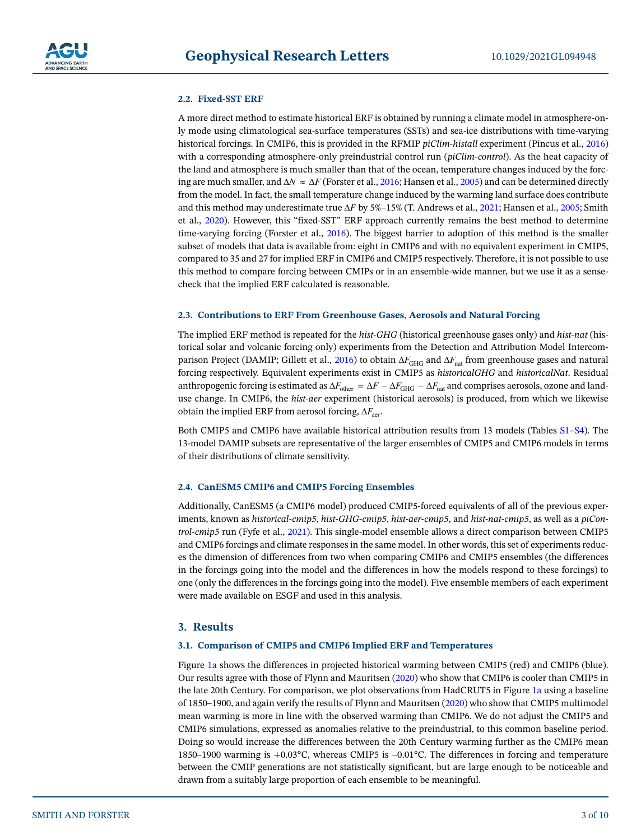#### **2.2. Fixed-SST ERF**

A more direct method to estimate historical ERF is obtained by running a climate model in atmosphere-only mode using climatological sea-surface temperatures (SSTs) and sea-ice distributions with time-varying historical forcings. In CMIP6, this is provided in the RFMIP *piClim-histall* experiment (Pincus et al., [2016](#page-9-20)) with a corresponding atmosphere-only preindustrial control run (*piClim-control*). As the heat capacity of the land and atmosphere is much smaller than that of the ocean, temperature changes induced by the forcing are much smaller, and  $\Delta N \approx \Delta F$  (Forster et al., [2016](#page-9-21); Hansen et al., [2005](#page-9-22)) and can be determined directly from the model. In fact, the small temperature change induced by the warming land surface does contribute and this method may underestimate true  $\Delta F$  by 5%–15% (T. Andrews et al., [2021;](#page-9-23) Hansen et al., [2005;](#page-9-22) Smith et al., [2020](#page-9-24)). However, this "fixed-SST" ERF approach currently remains the best method to determine time-varying forcing (Forster et al., [2016](#page-9-21)). The biggest barrier to adoption of this method is the smaller subset of models that data is available from: eight in CMIP6 and with no equivalent experiment in CMIP5, compared to 35 and 27 for implied ERF in CMIP6 and CMIP5 respectively. Therefore, it is not possible to use this method to compare forcing between CMIPs or in an ensemble-wide manner, but we use it as a sensecheck that the implied ERF calculated is reasonable.

#### **2.3. Contributions to ERF From Greenhouse Gases, Aerosols and Natural Forcing**

The implied ERF method is repeated for the *hist-GHG* (historical greenhouse gases only) and *hist-nat* (historical solar and volcanic forcing only) experiments from the Detection and Attribution Model Intercom-parison Project (DAMIP; Gillett et al., [2016\)](#page-9-25) to obtain  $\Delta F_{\text{GHG}}$  and  $\Delta F_{\text{nat}}$  from greenhouse gases and natural forcing respectively. Equivalent experiments exist in CMIP5 as *historicalGHG* and *historicalNat*. Residual anthropogenic forcing is estimated as  $\Delta F_{\text{other}} = \Delta F - \Delta F_{\text{GHG}} - \Delta F_{\text{nat}}$  and comprises aerosols, ozone and landuse change. In CMIP6, the *hist-aer* experiment (historical aerosols) is produced, from which we likewise obtain the implied ERF from aerosol forcing,  $\Delta F_{\text{aer}}$ .

Both CMIP5 and CMIP6 have available historical attribution results from 13 models (Tables S1–S4). The 13-model DAMIP subsets are representative of the larger ensembles of CMIP5 and CMIP6 models in terms of their distributions of climate sensitivity.

#### **2.4. CanESM5 CMIP6 and CMIP5 Forcing Ensembles**

Additionally, CanESM5 (a CMIP6 model) produced CMIP5-forced equivalents of all of the previous experiments, known as *historical-cmip5*, *hist-GHG-cmip5*, *hist-aer-cmip5*, and *hist-nat-cmip5*, as well as a *piControl-cmip5* run (Fyfe et al., [2021\)](#page-9-5). This single-model ensemble allows a direct comparison between CMIP5 and CMIP6 forcings and climate responses in the same model. In other words, this set of experiments reduces the dimension of differences from two when comparing CMIP6 and CMIP5 ensembles (the differences in the forcings going into the model and the differences in how the models respond to these forcings) to one (only the differences in the forcings going into the model). Five ensemble members of each experiment were made available on ESGF and used in this analysis.

#### **3. Results**

#### **3.1. Comparison of CMIP5 and CMIP6 Implied ERF and Temperatures**

Figure [1a](#page-3-0) shows the differences in projected historical warming between CMIP5 (red) and CMIP6 (blue). Our results agree with those of Flynn and Mauritsen ([2020\)](#page-9-2) who show that CMIP6 is cooler than CMIP5 in the late 20th Century. For comparison, we plot observations from HadCRUT5 in Figure [1a](#page-3-0) using a baseline of 1850–1900, and again verify the results of Flynn and Mauritsen ([2020](#page-9-2)) who show that CMIP5 multimodel mean warming is more in line with the observed warming than CMIP6. We do not adjust the CMIP5 and CMIP6 simulations, expressed as anomalies relative to the preindustrial, to this common baseline period. Doing so would increase the differences between the 20th Century warming further as the CMIP6 mean 1850–1900 warming is +0.03 $^{\circ}$ C, whereas CMIP5 is -0.01 $^{\circ}$ C. The differences in forcing and temperature between the CMIP generations are not statistically significant, but are large enough to be noticeable and drawn from a suitably large proportion of each ensemble to be meaningful.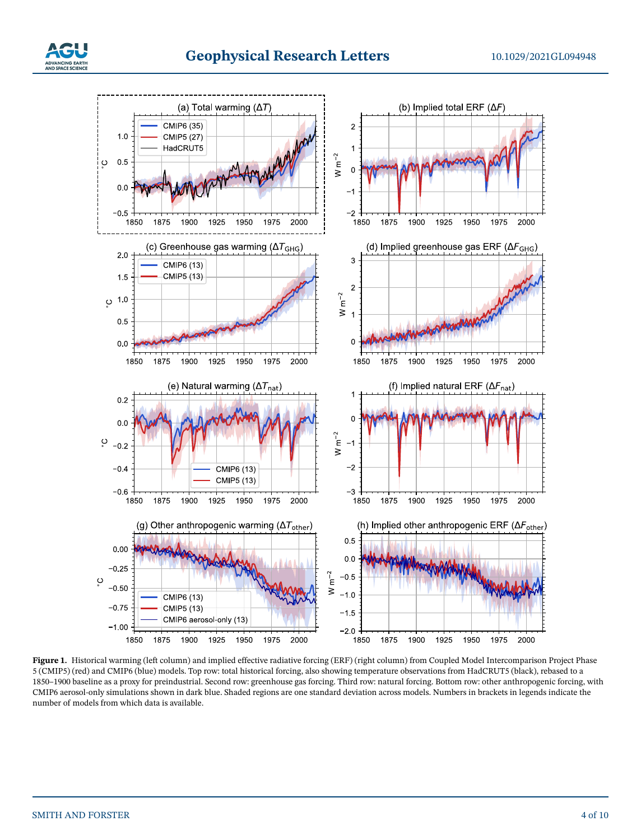

<span id="page-3-0"></span>**Figure 1.** Historical warming (left column) and implied effective radiative forcing (ERF) (right column) from Coupled Model Intercomparison Project Phase 5 (CMIP5) (red) and CMIP6 (blue) models. Top row: total historical forcing, also showing temperature observations from HadCRUT5 (black), rebased to a 1850–1900 baseline as a proxy for preindustrial. Second row: greenhouse gas forcing. Third row: natural forcing. Bottom row: other anthropogenic forcing, with CMIP6 aerosol-only simulations shown in dark blue. Shaded regions are one standard deviation across models. Numbers in brackets in legends indicate the number of models from which data is available.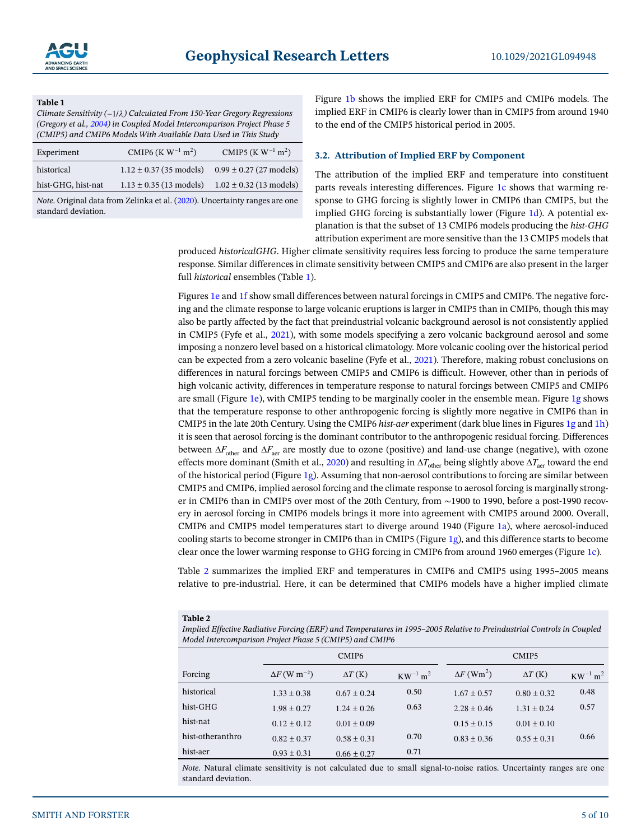#### <span id="page-4-0"></span>**Table 1**

*Climate Sensitivity (*1/*) Calculated From 150-Year Gregory Regressions (Gregory et al., [2004\)](#page-9-26) in Coupled Model Intercomparison Project Phase 5 (CMIP5) and CMIP6 Models With Available Data Used in This Study*

| $1.12 \pm 0.37$ (35 models) $0.99 \pm 0.27$ (27 models)<br>historical         |  |
|-------------------------------------------------------------------------------|--|
| $1.13 \pm 0.35$ (13 models) $1.02 \pm 0.32$ (13 models)<br>hist-GHG, hist-nat |  |

*Note*. Original data from Zelinka et al. [\(2020](#page-9-16)). Uncertainty ranges are one standard deviation.

Figure [1b](#page-3-0) shows the implied ERF for CMIP5 and CMIP6 models. The implied ERF in CMIP6 is clearly lower than in CMIP5 from around 1940 to the end of the CMIP5 historical period in 2005.

#### **3.2. Attribution of Implied ERF by Component**

The attribution of the implied ERF and temperature into constituent parts reveals interesting differences. Figure [1c](#page-3-0) shows that warming response to GHG forcing is slightly lower in CMIP6 than CMIP5, but the implied GHG forcing is substantially lower (Figure [1d](#page-3-0)). A potential explanation is that the subset of 13 CMIP6 models producing the *hist-GHG* attribution experiment are more sensitive than the 13 CMIP5 models that

produced *historicalGHG*. Higher climate sensitivity requires less forcing to produce the same temperature response. Similar differences in climate sensitivity between CMIP5 and CMIP6 are also present in the larger full *historical* ensembles (Table [1](#page-4-0)).

Figures [1e](#page-3-0) and [1f](#page-3-0) show small differences between natural forcings in CMIP5 and CMIP6. The negative forcing and the climate response to large volcanic eruptions is larger in CMIP5 than in CMIP6, though this may also be partly affected by the fact that preindustrial volcanic background aerosol is not consistently applied in CMIP5 (Fyfe et al., [2021\)](#page-9-5), with some models specifying a zero volcanic background aerosol and some imposing a nonzero level based on a historical climatology. More volcanic cooling over the historical period can be expected from a zero volcanic baseline (Fyfe et al., [2021](#page-9-5)). Therefore, making robust conclusions on differences in natural forcings between CMIP5 and CMIP6 is difficult. However, other than in periods of high volcanic activity, differences in temperature response to natural forcings between CMIP5 and CMIP6 are small (Figure [1e\)](#page-3-0), with CMIP5 tending to be marginally cooler in the ensemble mean. Figure [1g](#page-3-0) shows that the temperature response to other anthropogenic forcing is slightly more negative in CMIP6 than in CMIP5 in the late 20th Century. Using the CMIP6 *hist-aer* experiment (dark blue lines in Figures [1g](#page-3-0) and [1h](#page-3-0)) it is seen that aerosol forcing is the dominant contributor to the anthropogenic residual forcing. Differences between  $\Delta F_{\text{other}}$  and  $\Delta F_{\text{aer}}$  are mostly due to ozone (positive) and land-use change (negative), with ozone effects more dominant (Smith et al., [2020\)](#page-9-24) and resulting in  $\Delta T_{\text{other}}$  being slightly above  $\Delta T_{\text{aer}}$  toward the end of the historical period (Figure [1g\)](#page-3-0). Assuming that non-aerosol contributions to forcing are similar between CMIP5 and CMIP6, implied aerosol forcing and the climate response to aerosol forcing is marginally stronger in CMIP6 than in CMIP5 over most of the 20th Century, from ∼1900 to 1990, before a post-1990 recovery in aerosol forcing in CMIP6 models brings it more into agreement with CMIP5 around 2000. Overall, CMIP6 and CMIP5 model temperatures start to diverge around 1940 (Figure [1a](#page-3-0)), where aerosol-induced cooling starts to become stronger in CMIP6 than in CMIP5 (Figure [1g](#page-3-0)), and this difference starts to become clear once the lower warming response to GHG forcing in CMIP6 from around 1960 emerges (Figure [1c](#page-3-0)).

Table [2](#page-4-1) summarizes the implied ERF and temperatures in CMIP6 and CMIP5 using 1995–2005 means relative to pre-industrial. Here, it can be determined that CMIP6 models have a higher implied climate

#### <span id="page-4-1"></span>**Table 2**

*Implied Effective Radiative Forcing (ERF) and Temperatures in 1995–2005 Relative to Preindustrial Controls in Coupled Model Intercomparison Project Phase 5 (CMIP5) and CMIP6*

|                  | CMIP <sub>6</sub>               |                 |                | CMIP <sub>5</sub>             |                |                |
|------------------|---------------------------------|-----------------|----------------|-------------------------------|----------------|----------------|
| Forcing          | $\Delta F$ (W m <sup>-2</sup> ) | $\Delta T$ (K)  | $KW^{-1}m^{2}$ | $\Delta F$ (Wm <sup>2</sup> ) | $\Delta T$ (K) | $KW^{-1}m^{2}$ |
| historical       | $1.33 \pm 0.38$                 | $0.67 + 0.24$   | 0.50           | $1.67 + 0.57$                 | $0.80 + 0.32$  | 0.48           |
| hist-GHG         | $1.98 + 0.27$                   | $1.24 + 0.26$   | 0.63           | $2.28 + 0.46$                 | $1.31 + 0.24$  | 0.57           |
| hist-nat         | $0.12 + 0.12$                   | $0.01 + 0.09$   |                | $0.15 \pm 0.15$               | $0.01 + 0.10$  |                |
| hist-otheranthro | $0.82 + 0.37$                   | $0.58 \pm 0.31$ | 0.70           | $0.83 + 0.36$                 | $0.55 + 0.31$  | 0.66           |
| hist-aer         | $0.93 \pm 0.31$                 | $0.66 \pm 0.27$ | 0.71           |                               |                |                |

*Note*. Natural climate sensitivity is not calculated due to small signal-to-noise ratios. Uncertainty ranges are one standard deviation.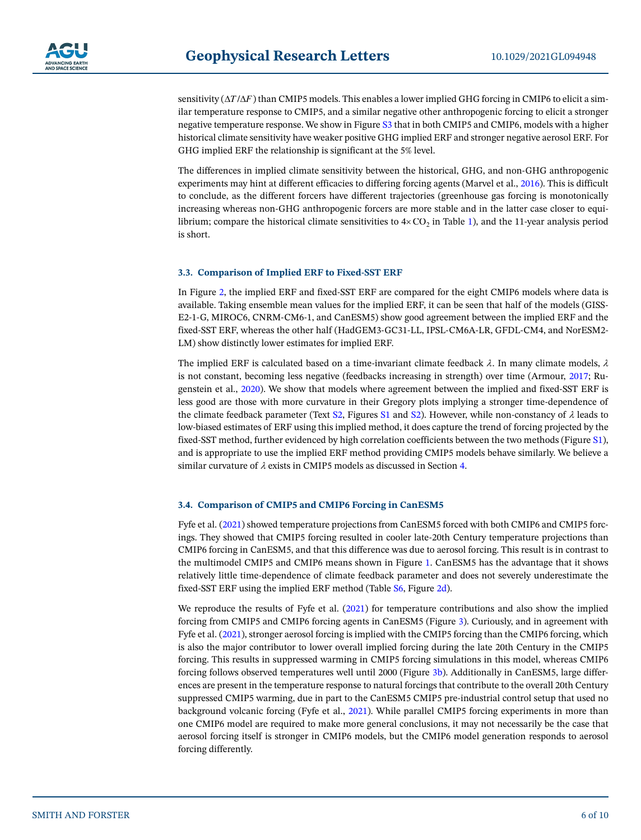sensitivity  $(\Delta T/\Delta F)$  than CMIP5 models. This enables a lower implied GHG forcing in CMIP6 to elicit a similar temperature response to CMIP5, and a similar negative other anthropogenic forcing to elicit a stronger negative temperature response. We show in Figure S3 that in both CMIP5 and CMIP6, models with a higher historical climate sensitivity have weaker positive GHG implied ERF and stronger negative aerosol ERF. For GHG implied ERF the relationship is significant at the 5% level.

The differences in implied climate sensitivity between the historical, GHG, and non-GHG anthropogenic experiments may hint at different efficacies to differing forcing agents (Marvel et al., [2016\)](#page-9-27). This is difficult to conclude, as the different forcers have different trajectories (greenhouse gas forcing is monotonically increasing whereas non-GHG anthropogenic forcers are more stable and in the latter case closer to equilibrium; compare the historical climate sensitivities to  $4 \times CO<sub>2</sub>$  in Table [1](#page-4-0)), and the 11-year analysis period is short.

#### **3.3. Comparison of Implied ERF to Fixed-SST ERF**

In Figure [2,](#page-6-0) the implied ERF and fixed-SST ERF are compared for the eight CMIP6 models where data is available. Taking ensemble mean values for the implied ERF, it can be seen that half of the models (GISS-E2-1-G, MIROC6, CNRM-CM6-1, and CanESM5) show good agreement between the implied ERF and the fixed-SST ERF, whereas the other half (HadGEM3-GC31-LL, IPSL-CM6A-LR, GFDL-CM4, and NorESM2- LM) show distinctly lower estimates for implied ERF.

The implied ERF is calculated based on a time-invariant climate feedback  $\lambda$ . In many climate models,  $\lambda$ is not constant, becoming less negative (feedbacks increasing in strength) over time (Armour, [2017;](#page-9-28) Rugenstein et al., [2020\)](#page-9-29). We show that models where agreement between the implied and fixed-SST ERF is less good are those with more curvature in their Gregory plots implying a stronger time-dependence of the climate feedback parameter (Text S2, Figures S1 and S2). However, while non-constancy of  $\lambda$  leads to low-biased estimates of ERF using this implied method, it does capture the trend of forcing projected by the fixed-SST method, further evidenced by high correlation coefficients between the two methods (Figure S1), and is appropriate to use the implied ERF method providing CMIP5 models behave similarly. We believe a similar curvature of  $\lambda$  exists in CMIP5 models as discussed in Section [4.](#page-6-1)

#### **3.4. Comparison of CMIP5 and CMIP6 Forcing in CanESM5**

Fyfe et al. ([2021](#page-9-5)) showed temperature projections from CanESM5 forced with both CMIP6 and CMIP5 forcings. They showed that CMIP5 forcing resulted in cooler late-20th Century temperature projections than CMIP6 forcing in CanESM5, and that this difference was due to aerosol forcing. This result is in contrast to the multimodel CMIP5 and CMIP6 means shown in Figure [1](#page-3-0). CanESM5 has the advantage that it shows relatively little time-dependence of climate feedback parameter and does not severely underestimate the fixed-SST ERF using the implied ERF method (Table S6, Figure [2d\)](#page-6-0).

We reproduce the results of Fyfe et al. [\(2021](#page-9-5)) for temperature contributions and also show the implied forcing from CMIP5 and CMIP6 forcing agents in CanESM5 (Figure [3](#page-7-0)). Curiously, and in agreement with Fyfe et al. ([2021](#page-9-5)), stronger aerosol forcing is implied with the CMIP5 forcing than the CMIP6 forcing, which is also the major contributor to lower overall implied forcing during the late 20th Century in the CMIP5 forcing. This results in suppressed warming in CMIP5 forcing simulations in this model, whereas CMIP6 forcing follows observed temperatures well until 2000 (Figure [3b\)](#page-7-0). Additionally in CanESM5, large differences are present in the temperature response to natural forcings that contribute to the overall 20th Century suppressed CMIP5 warming, due in part to the CanESM5 CMIP5 pre-industrial control setup that used no background volcanic forcing (Fyfe et al., [2021\)](#page-9-5). While parallel CMIP5 forcing experiments in more than one CMIP6 model are required to make more general conclusions, it may not necessarily be the case that aerosol forcing itself is stronger in CMIP6 models, but the CMIP6 model generation responds to aerosol forcing differently.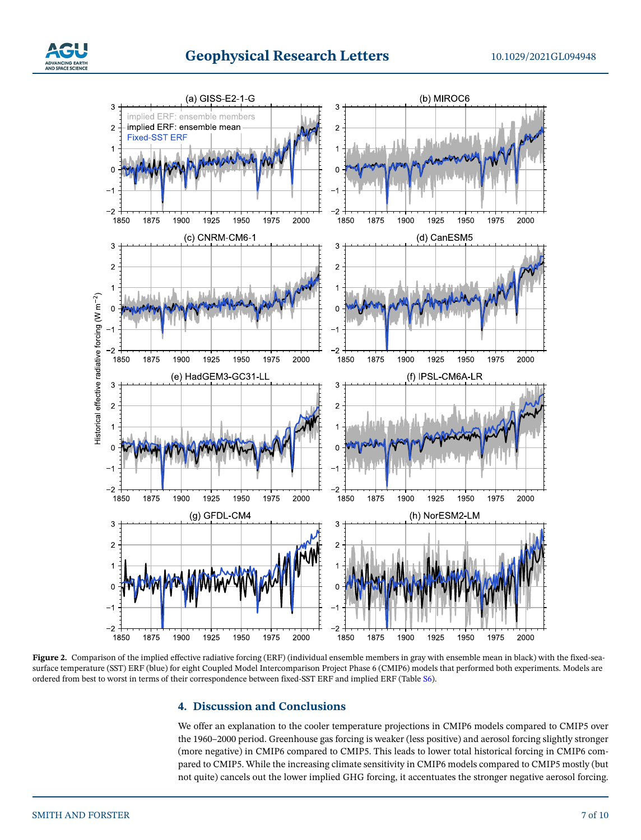



<span id="page-6-0"></span>Figure 2. Comparison of the implied effective radiative forcing (ERF) (individual ensemble members in gray with ensemble mean in black) with the fixed-seasurface temperature (SST) ERF (blue) for eight Coupled Model Intercomparison Project Phase 6 (CMIP6) models that performed both experiments. Models are ordered from best to worst in terms of their correspondence between fixed-SST ERF and implied ERF (Table S6).

## <span id="page-6-1"></span>**4. Discussion and Conclusions**

We offer an explanation to the cooler temperature projections in CMIP6 models compared to CMIP5 over the 1960–2000 period. Greenhouse gas forcing is weaker (less positive) and aerosol forcing slightly stronger (more negative) in CMIP6 compared to CMIP5. This leads to lower total historical forcing in CMIP6 compared to CMIP5. While the increasing climate sensitivity in CMIP6 models compared to CMIP5 mostly (but not quite) cancels out the lower implied GHG forcing, it accentuates the stronger negative aerosol forcing.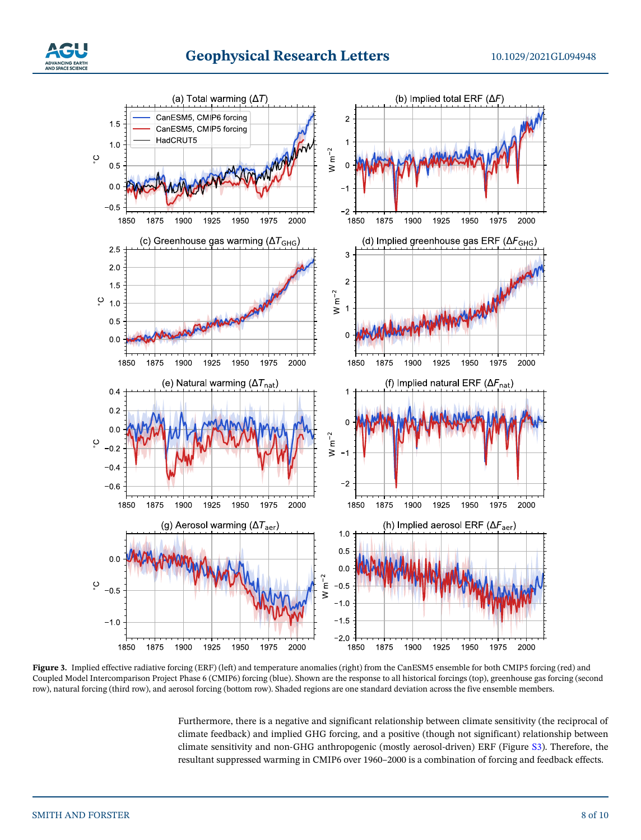



<span id="page-7-0"></span>Figure 3. Implied effective radiative forcing (ERF) (left) and temperature anomalies (right) from the CanESM5 ensemble for both CMIP5 forcing (red) and Coupled Model Intercomparison Project Phase 6 (CMIP6) forcing (blue). Shown are the response to all historical forcings (top), greenhouse gas forcing (second row), natural forcing (third row), and aerosol forcing (bottom row). Shaded regions are one standard deviation across the five ensemble members.

Furthermore, there is a negative and significant relationship between climate sensitivity (the reciprocal of climate feedback) and implied GHG forcing, and a positive (though not significant) relationship between climate sensitivity and non-GHG anthropogenic (mostly aerosol-driven) ERF (Figure S3). Therefore, the resultant suppressed warming in CMIP6 over 1960–2000 is a combination of forcing and feedback effects.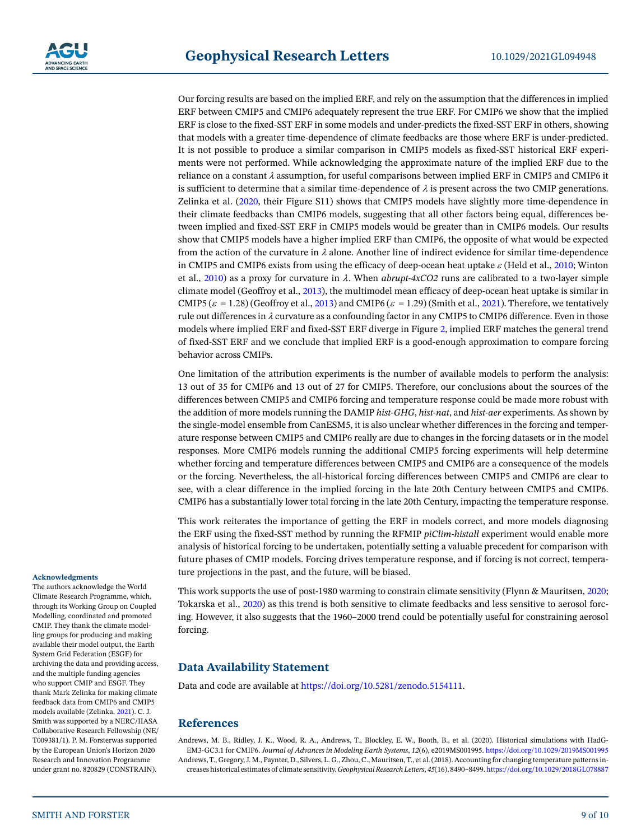Our forcing results are based on the implied ERF, and rely on the assumption that the differences in implied ERF between CMIP5 and CMIP6 adequately represent the true ERF. For CMIP6 we show that the implied ERF is close to the fixed-SST ERF in some models and under-predicts the fixed-SST ERF in others, showing that models with a greater time-dependence of climate feedbacks are those where ERF is under-predicted. It is not possible to produce a similar comparison in CMIP5 models as fixed-SST historical ERF experiments were not performed. While acknowledging the approximate nature of the implied ERF due to the reliance on a constant  $\lambda$  assumption, for useful comparisons between implied ERF in CMIP5 and CMIP6 it is sufficient to determine that a similar time-dependence of  $\lambda$  is present across the two CMIP generations. Zelinka et al. [\(2020,](#page-9-16) their Figure S11) shows that CMIP5 models have slightly more time-dependence in their climate feedbacks than CMIP6 models, suggesting that all other factors being equal, differences between implied and fixed-SST ERF in CMIP5 models would be greater than in CMIP6 models. Our results show that CMIP5 models have a higher implied ERF than CMIP6, the opposite of what would be expected from the action of the curvature in  $\lambda$  alone. Another line of indirect evidence for similar time-dependence in CMIP5 and CMIP6 exists from using the efficacy of deep-ocean heat uptake  $\varepsilon$  (Held et al., [2010](#page-9-30); Winton et al., [2010](#page-9-31)) as a proxy for curvature in  $\lambda$ . When *abrupt-4xCO2* runs are calibrated to a two-layer simple climate model (Geoffroy et al., [2013\)](#page-9-32), the multimodel mean efficacy of deep-ocean heat uptake is similar in CMIP5 ( $\varepsilon = 1.28$ ) (Geoffroy et al., [2013\)](#page-9-32) and CMIP6 ( $\varepsilon = 1.29$ ) (Smith et al., [2021\)](#page-9-6). Therefore, we tentatively rule out differences in  $\lambda$  curvature as a confounding factor in any CMIP5 to CMIP6 difference. Even in those models where implied ERF and fixed-SST ERF diverge in Figure [2](#page-6-0), implied ERF matches the general trend of fixed-SST ERF and we conclude that implied ERF is a good-enough approximation to compare forcing behavior across CMIPs.

One limitation of the attribution experiments is the number of available models to perform the analysis: 13 out of 35 for CMIP6 and 13 out of 27 for CMIP5. Therefore, our conclusions about the sources of the differences between CMIP5 and CMIP6 forcing and temperature response could be made more robust with the addition of more models running the DAMIP *hist-GHG*, *hist-nat*, and *hist-aer* experiments. As shown by the single-model ensemble from CanESM5, it is also unclear whether differences in the forcing and temperature response between CMIP5 and CMIP6 really are due to changes in the forcing datasets or in the model responses. More CMIP6 models running the additional CMIP5 forcing experiments will help determine whether forcing and temperature differences between CMIP5 and CMIP6 are a consequence of the models or the forcing. Nevertheless, the all-historical forcing differences between CMIP5 and CMIP6 are clear to see, with a clear difference in the implied forcing in the late 20th Century between CMIP5 and CMIP6. CMIP6 has a substantially lower total forcing in the late 20th Century, impacting the temperature response.

This work reiterates the importance of getting the ERF in models correct, and more models diagnosing the ERF using the fixed-SST method by running the RFMIP *piClim-histall* experiment would enable more analysis of historical forcing to be undertaken, potentially setting a valuable precedent for comparison with future phases of CMIP models. Forcing drives temperature response, and if forcing is not correct, temperature projections in the past, and the future, will be biased.

This work supports the use of post-1980 warming to constrain climate sensitivity (Flynn & Mauritsen, [2020](#page-9-2); Tokarska et al., [2020\)](#page-9-7) as this trend is both sensitive to climate feedbacks and less sensitive to aerosol forcing. However, it also suggests that the 1960–2000 trend could be potentially useful for constraining aerosol forcing.

### **Data Availability Statement**

Data and code are available at [https://doi.org/10.5281/zenodo.5154111.](https://doi.org/10.5281/zenodo.5154111)

#### **References**

<span id="page-8-1"></span><span id="page-8-0"></span>Andrews, M. B., Ridley, J. K., Wood, R. A., Andrews, T., Blockley, E. W., Booth, B., et al. (2020). Historical simulations with HadG-EM3-GC3.1 for CMIP6. *Journal of Advances in Modeling Earth Systems*, *12*(6), e2019MS001995.<https://doi.org/10.1029/2019MS001995> Andrews, T., Gregory, J. M., Paynter, D., Silvers, L. G., Zhou, C., Mauritsen, T., et al. (2018). Accounting for changing temperature patterns increases historical estimates of climate sensitivity. *Geophysical Research Letters*, *45*(16), 8490–8499.<https://doi.org/10.1029/2018GL078887>

#### **Acknowledgments**

The authors acknowledge the World Climate Research Programme, which, through its Working Group on Coupled Modelling, coordinated and promoted CMIP. They thank the climate modelling groups for producing and making available their model output, the Earth System Grid Federation (ESGF) for archiving the data and providing access, and the multiple funding agencies who support CMIP and ESGF. They thank Mark Zelinka for making climate feedback data from CMIP6 and CMIP5 models available (Zelinka, [2021](#page-9-17)). C. J. Smith was supported by a NERC/IIASA Collaborative Research Fellowship (NE/ T009381/1). P. M. Forsterwas supported by the European Union's Horizon 2020 Research and Innovation Programme under grant no. 820829 (CONSTRAIN).